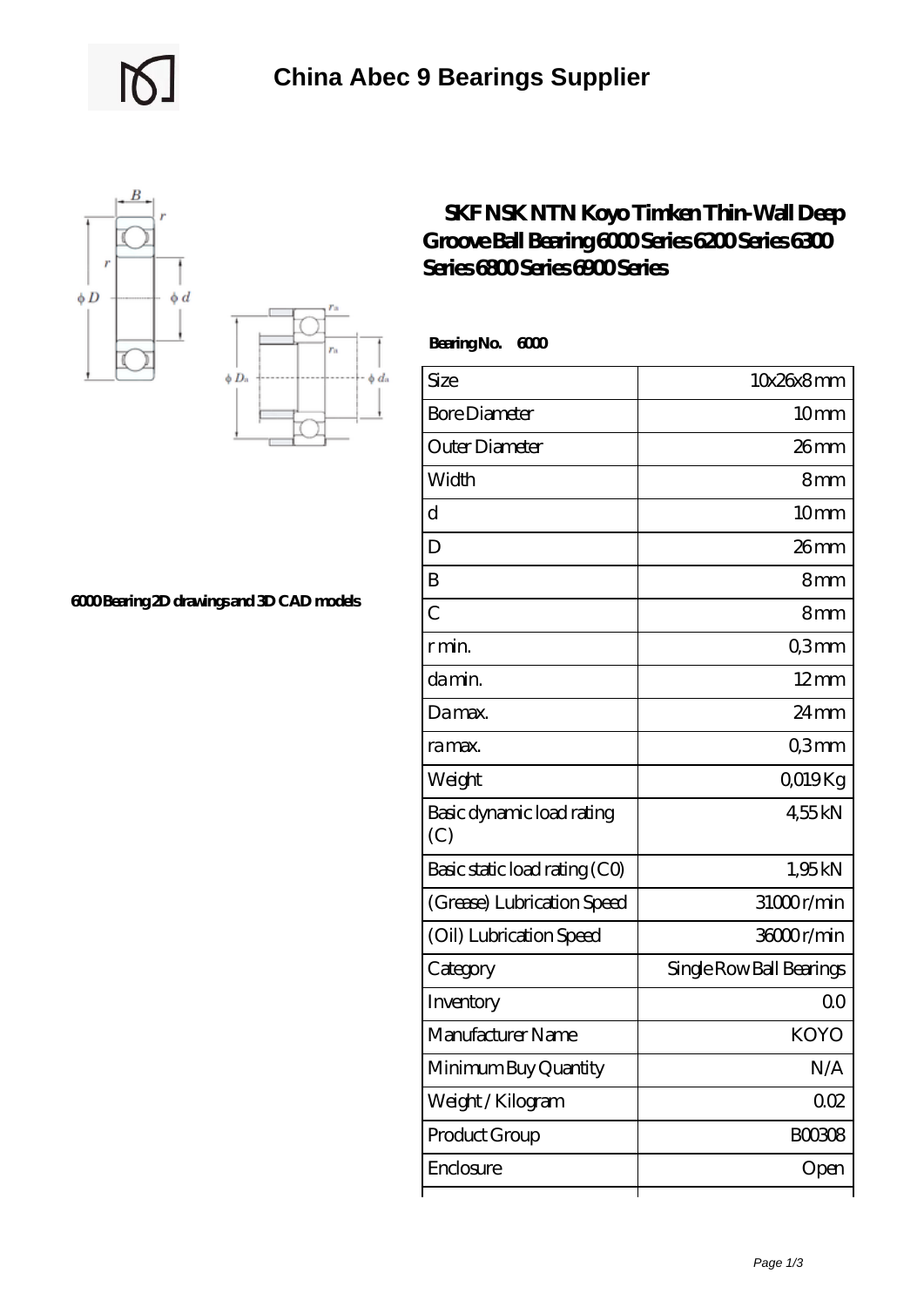



## **[6000 Bearing 2D drawings and 3D CAD models](https://uttorshuri.net/pic-525902.html)**

## **[SKF NSK NTN Koyo Timken Thin-Wall Deep](https://uttorshuri.net/skf-6200-bearing/skf-nsk-ntn-koyo-timken-thin-wall-deep-groove-ball-bearing-6000-series-6200-series-6300-series-6800-series-6900-series.html) [Groove Ball Bearing 6000 Series 6200 Series 6300](https://uttorshuri.net/skf-6200-bearing/skf-nsk-ntn-koyo-timken-thin-wall-deep-groove-ball-bearing-6000-series-6200-series-6300-series-6800-series-6900-series.html) [Series 6800 Series 6900 Series](https://uttorshuri.net/skf-6200-bearing/skf-nsk-ntn-koyo-timken-thin-wall-deep-groove-ball-bearing-6000-series-6200-series-6300-series-6800-series-6900-series.html)**

 **Bearing No. 6000**

| Size                             | 10x26x8mm                |
|----------------------------------|--------------------------|
| <b>Bore Diameter</b>             | 10 <sub>mm</sub>         |
| Outer Diameter                   | 26mm                     |
| Width                            | 8mm                      |
| d                                | 10mm                     |
| D                                | 26mm                     |
| B                                | 8mm                      |
| $\overline{C}$                   | 8mm                      |
| r min.                           | Q3mm                     |
| da min.                          | $12 \text{mm}$           |
| Damax.                           | $24 \,\mathrm{mm}$       |
| ra max.                          | Q3mm                     |
| Weight                           | QO19Kg                   |
| Basic dynamic load rating<br>(C) | 455kN                    |
| Basic static load rating (CO)    | 1,95kN                   |
| (Grease) Lubrication Speed       | 31000r/min               |
| (Oil) Lubrication Speed          | 36000r/min               |
| Category                         | Single Row Ball Bearings |
| Inventory                        | Q0                       |
| Manufacturer Name                | <b>KOYO</b>              |
| Minimum Buy Quantity             | N/A                      |
| Weight/Kilogram                  | 002                      |
| Product Group                    | BOO3O8                   |
| Enclosure                        | Open                     |
|                                  |                          |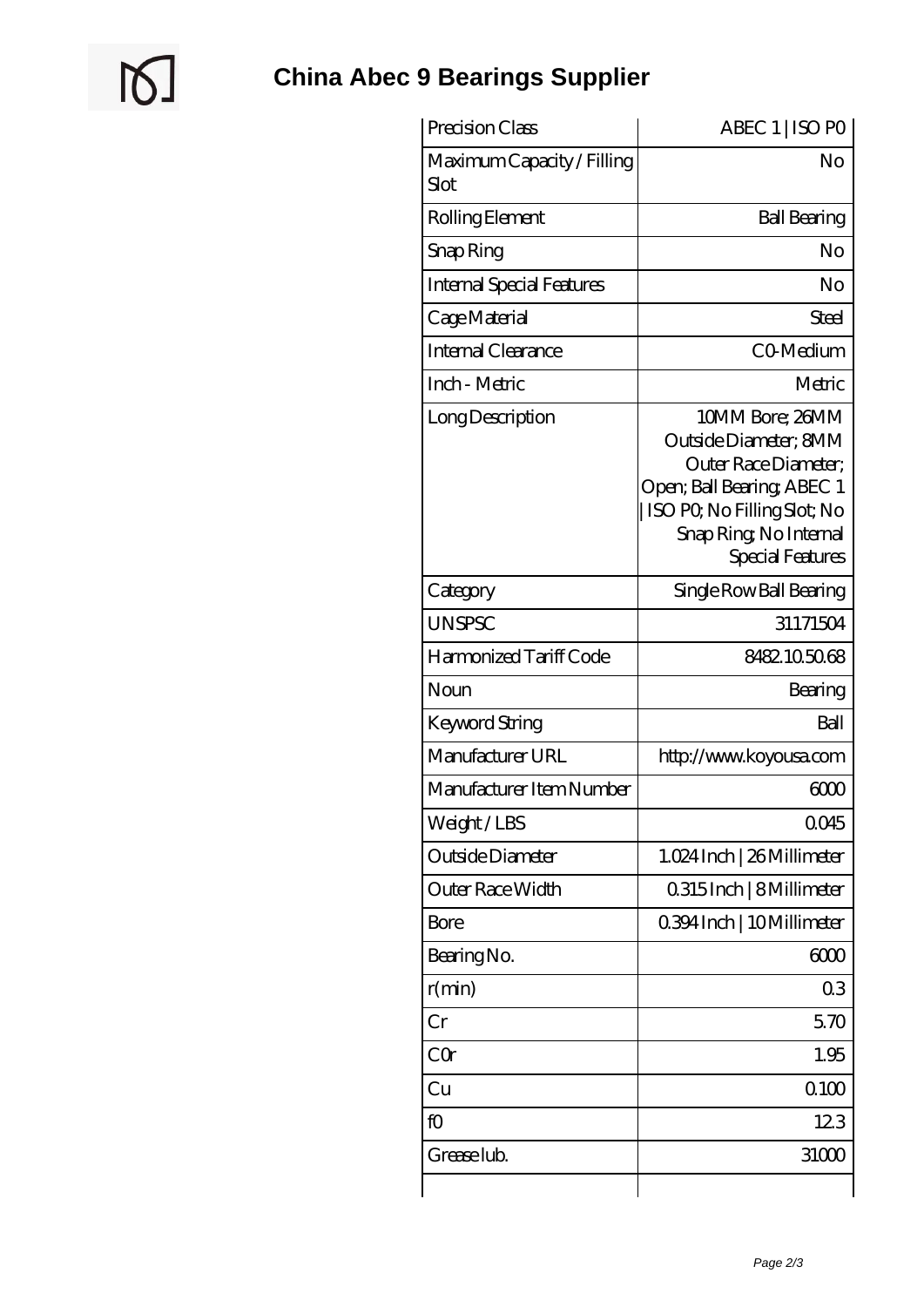$\mathbb{Q}$ 

| Precision Class                    | ABEC 1   ISO PO                                                                                                                                                             |
|------------------------------------|-----------------------------------------------------------------------------------------------------------------------------------------------------------------------------|
| Maximum Capacity / Filling<br>Slot | No                                                                                                                                                                          |
| Rolling Element                    | <b>Ball Bearing</b>                                                                                                                                                         |
| Snap Ring                          | No                                                                                                                                                                          |
| <b>Internal Special Features</b>   | No                                                                                                                                                                          |
| Cage Material                      | Steel                                                                                                                                                                       |
| Internal Clearance                 | CO-Medium                                                                                                                                                                   |
| Inch - Metric                      | Metric                                                                                                                                                                      |
| Long Description                   | 10MM Bore; 26MM<br>Outside Diameter; 8MM<br>Outer Race Diameter;<br>Open; Ball Bearing; ABEC 1<br>ISO PO, No Filling Slot; No<br>Snap Ring, No Internal<br>Special Features |
| Category                           | Single Row Ball Bearing                                                                                                                                                     |
| <b>UNSPSC</b>                      | 31171504                                                                                                                                                                    |
| Harmonized Tariff Code             | 8482105068                                                                                                                                                                  |
| Noun                               | Bearing                                                                                                                                                                     |
| Keyword String                     | Ball                                                                                                                                                                        |
| Manufacturer URL                   | http://www.koyousa.com                                                                                                                                                      |
| Manufacturer Item Number           | 600                                                                                                                                                                         |
| Weight/LBS                         | 0045                                                                                                                                                                        |
| Outside Diameter                   | 1.024 Inch   26 Millimeter                                                                                                                                                  |
| Outer Race Width                   | 0.315 Inch   8 Millimeter                                                                                                                                                   |
| <b>Bore</b>                        | 0.394 Inch   10 Millimeter                                                                                                                                                  |
| Bearing No.                        | 6000                                                                                                                                                                        |
| r(min)                             | 03                                                                                                                                                                          |
| Cr                                 | 570                                                                                                                                                                         |
| CQr                                | 1.95                                                                                                                                                                        |
| Cu                                 | 0100                                                                                                                                                                        |
| fO                                 | 123                                                                                                                                                                         |
| Grease lub.                        | 31000                                                                                                                                                                       |